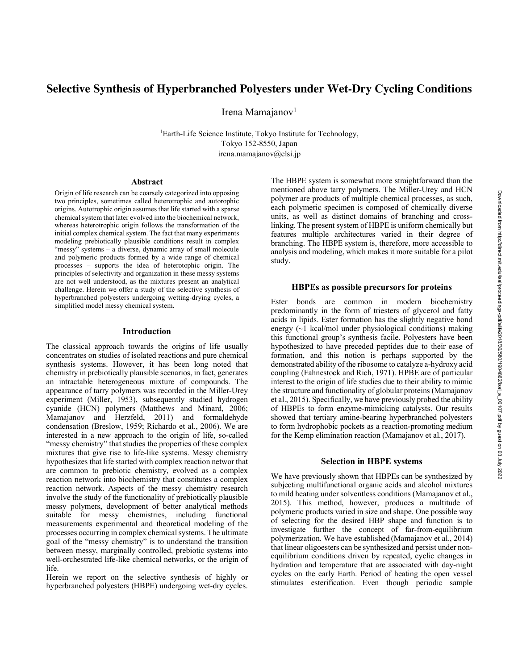# **Selective Synthesis of Hyperbranched Polyesters under Wet-Dry Cycling Conditions**

Irena Mamajanov<sup>1</sup>

<sup>1</sup>Earth-Life Science Institute, Tokyo Institute for Technology, Tokyo 152-8550, Japan irena.mamajanov@elsi.jp

#### **Abstract**

Origin of life research can be coarsely categorized into opposing two principles, sometimes called heterotrophic and autorophic origins. Autotrophic origin assumes that life started with a sparse chemical system that later evolved into the biochemical network, whereas heterotrophic origin follows the transformation of the initial complex chemical system. The fact that many experiments modeling prebiotically plausible conditions result in complex "messy" systems - a diverse, dynamic array of small molecule and polymeric products formed by a wide range of chemical processes – supports the idea of heterotophic origin. The principles of selectivity and organization in these messy systems are not well understood, as the mixtures present an analytical challenge. Herein we offer a study of the selective synthesis of hyperbranched polyesters undergoing wetting-drying cycles, a simplified model messy chemical system.

#### **Introduction**

The classical approach towards the origins of life usually concentrates on studies of isolated reactions and pure chemical synthesis systems. However, it has been long noted that chemistry in prebiotically plausible scenarios, in fact, generates an intractable heterogeneous mixture of compounds. The appearance of tarry polymers was recorded in the Miller-Urey experiment (Miller, 1953), subsequently studied hydrogen cyanide (HCN) polymers (Matthews and Minard, 2006; Mamajanov and Herzfeld, 2011) and formaldehyde condensation (Breslow, 1959; Richardo et al., 2006). We are interested in a new approach to the origin of life, so-called "messy chemistry" that studies the properties of these complex mixtures that give rise to life-like systems. Messy chemistry hypothesizes that life started with complex reaction networ that are common to prebiotic chemistry, evolved as a complex reaction network into biochemistry that constitutes a complex reaction network. Aspects of the messy chemistry research involve the study of the functionality of prebiotically plausible messy polymers, development of better analytical methods suitable for messy chemistries, including functional measurements experimental and theoretical modeling of the processes occurring in complex chemical systems. The ultimate goal of the "messy chemistry" is to understand the transition between messy, marginally controlled, prebiotic systems into well-orchestrated life-like chemical networks, or the origin of life.

Herein we report on the selective synthesis of highly or hyperbranched polyesters (HBPE) undergoing wet-dry cycles. The HBPE system is somewhat more straightforward than the mentioned above tarry polymers. The Miller-Urey and HCN polymer are products of multiple chemical processes, as such, each polymeric specimen is composed of chemically diverse units, as well as distinct domains of branching and crosslinking. The present system of HBPE is uniform chemically but features multiple architectures varied in their degree of branching. The HBPE system is, therefore, more accessible to analysis and modeling, which makes it more suitable for a pilot study.

### **HBPEs as possible precursors for proteins**

Ester bonds are common in modern biochemistry predominantly in the form of triesters of glycerol and fatty acids in lipids. Ester formation has the slightly negative bond energy (~1 kcal/mol under physiological conditions) making this functional group's synthesis facile. Polyesters have been hypothesized to have preceded peptides due to their ease of formation, and this notion is perhaps supported by the demonstrated ability of the ribosome to catalyze a-hydroxy acid coupling (Fahnestock and Rich, 1971). HPBE are of particular interest to the origin of life studies due to their ability to mimic the structure and functionality of globular proteins (Mamajanov et al., 2015). Specifically, we have previously probed the ability of HBPEs to form enzyme-mimicking catalysts. Our results showed that tertiary amine-bearing hyperbranched polyesters to form hydrophobic pockets as a reaction-promoting medium for the Kemp elimination reaction (Mamajanov et al., 2017).

## **Selection in HBPE systems**

We have previously shown that HBPEs can be synthesized by subjecting multifunctional organic acids and alcohol mixtures to mild heating under solventless conditions (Mamajanov et al., 2015). This method, however, produces a multitude of polymeric products varied in size and shape. One possible way of selecting for the desired HBP shape and function is to investigate further the concept of far-from-equilibrium polymerization. We have established (Mamajanov et al., 2014) that linear oligoesters can be synthesized and persist under nonequilibrium conditions driven by repeated, cyclic changes in hydration and temperature that are associated with day-night cycles on the early Earth. Period of heating the open vessel stimulates esterification. Even though periodic sample